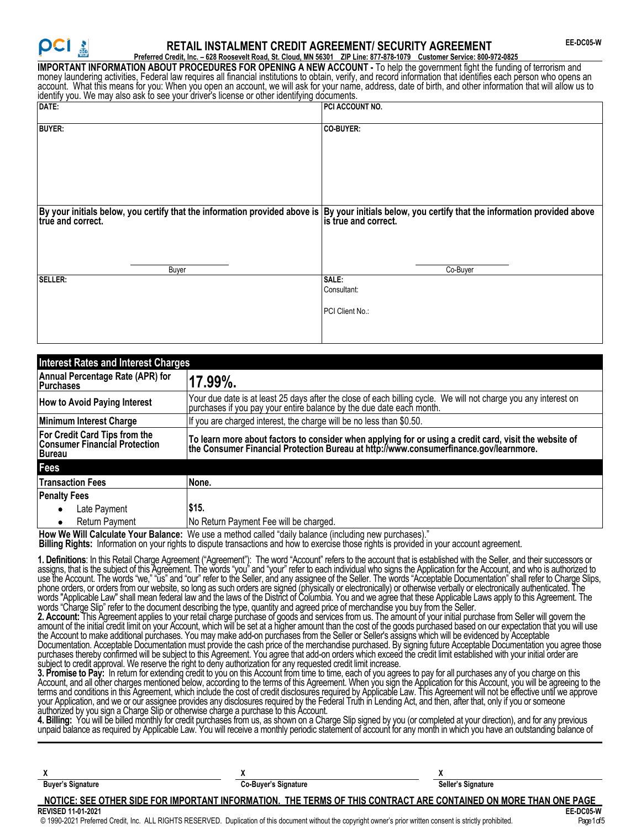# **RETAIL INSTALMENT CREDIT AGREEMENT/ SECURITY AGREEMENT**

**Preferred Credit, Inc. – 628 Roosevelt Road, St. Cloud, MN 56301 ZIP Line: 877-878-1079 Customer Service: 800-972-0825 IMPORTANT INFORMATION ABOUT PROCEDURES FOR OPENING A NEW ACCOUNT -** To help the government fight the funding of terrorism and money laundering activities, Federal law requires all financial institutions to obtain, verify, and record information that identifies each person who opens an account. What this means for you: When you open an account, we will ask for your name, address, date of birth, and other information that will allow us to identify you. We may also ask to see your driver's license or other identifying documents.

| DATE:                                                                                                                                                                   | PCI ACCOUNT NO.                                |
|-------------------------------------------------------------------------------------------------------------------------------------------------------------------------|------------------------------------------------|
| <b>BUYER:</b>                                                                                                                                                           | CO-BUYER:                                      |
| By your initials below, you certify that the information provided above is By your initials below, you certify that the information provided above is true and correct. |                                                |
| Buyer                                                                                                                                                                   | Co-Buyer                                       |
| <b>SELLER:</b>                                                                                                                                                          | <b>SALE:</b><br>Consultant:<br>PCI Client No.: |

| <b>Interest Rates and Interest Charges</b>                                      |                                                                                                                                                                                              |  |  |
|---------------------------------------------------------------------------------|----------------------------------------------------------------------------------------------------------------------------------------------------------------------------------------------|--|--|
| Annual Percentage Rate (APR) for<br><b>Purchases</b>                            | 17.99%.                                                                                                                                                                                      |  |  |
| <b>How to Avoid Paying Interest</b>                                             | Your due date is at least 25 days after the close of each billing cycle. We will not charge you any interest on<br>purchases if you pay your entire balance by the due date each month.      |  |  |
| Minimum Interest Charge                                                         | If you are charged interest, the charge will be no less than \$0.50.                                                                                                                         |  |  |
| For Credit Card Tips from the<br>Consumer Financial Protection<br><b>Bureau</b> | To learn more about factors to consider when applying for or using a credit card, visit the website of the Consumer Financial Protection Bureau at http://www.consumerfinance.gov/learnmore. |  |  |
| Fees                                                                            |                                                                                                                                                                                              |  |  |
| <b>Transaction Fees</b>                                                         | None.                                                                                                                                                                                        |  |  |
| <b>Penalty Fees</b>                                                             |                                                                                                                                                                                              |  |  |
| Late Payment<br>$\bullet$                                                       | \$15.                                                                                                                                                                                        |  |  |
| Return Payment<br>٠                                                             | No Return Payment Fee will be charged.                                                                                                                                                       |  |  |

How We Will Calculate Your Balance: We use a method called "daily balance (including new purchases).

**Billing Rights:** Information on your rights to dispute transactions and how to exercise those rights is provided in your account agreement.

**1. Definitions**: In this Retail Charge Agreement ("Agreement"): The word "Account" refers to the account that is established with the Seller, and their successors or assigns, that is the subject of this Agreement. The words "you" and "your" refer to each individual who signs the Application for the Account, and who is authorized to use the Account. The words "we," "ūs" and "our" refer to the Seller, and any assignee of the Seller. The words "Acceptable Documentation" shall refer to Charge Slips, phone orders, or orders from our website, so long as such orders are signed (physically or electronically) or otherwise verbally or electronically authenticated. The words "Applicable Law" shall mean federal law and the laws of the District of Columbia. You and we agree that these Applicable Laws apply to this Agreement. The words "Charge Slip" refer to the document describing the type, quantity and agreed price of merchandise you buy from the Seller.

**2. Account:** This Agreement applies to your retail charge purchase of goods and services from us. The amount of your initial purchase from Seller will govern the amount of the initial credit limit on your Account, which will be set at a higher amount than the cost of the goods purchased based on our expectation that you will use the Account to make additional purchases. You may make add-on purchases from the Seller or Seller's assigns which will be evidenced by Acceptable Documentation. Acceptable Documentation must provide the cash price of the merchandise purchased. By signing future Acceptable Documentation you agree those purchases thereby confirmed will be subject to this Agreement. You agree that add-on orders which exceed the credit limit established with your initial order are subject to credit approval. We reserve the right to deny authorization for any requested credit limit increase.

**3. Promise to Pay:** In return for extending credit to you on this Account from time to time, each of you agrees to pay for all purchases any of you charge on this Account, and all other charges mentioned below, according to the terms of this Agreement. When you sign the Application for this Account, you will be agreeing to the terms and conditions in this Agreement, which include the cost of credit disclosures required by Applicable Law. This Agreement will not be effective until we approve your Application, and we or our assignee provides any disclosures required by the Federal Truth in Lending Act, and then, after that, only if you or someone authorized by you sign a Charge Slip or otherwise charge a purchase to this Account.

**4. Billing:** You will be billed monthly for credit purchases from us, as shown on a Charge Slip signed by you (or completed at your direction), and for any previous unpaid balance as required by Applicable Law. You will receive a monthly periodic statement of account for any month in which you have an outstanding balance of

| <b>Buyer's Signature</b>  | Co-Buyer's Signature                                                                                                                                             | Seller's Signature |
|---------------------------|------------------------------------------------------------------------------------------------------------------------------------------------------------------|--------------------|
|                           | NOTICE: SEE OTHER SIDE FOR IMPORTANT INFORMATION. THE TERMS OF THIS CONTRACT ARE CONTAINED ON MORE THAN ONE PAGE                                                 |                    |
| <b>REVISED 11-01-2021</b> |                                                                                                                                                                  | EE-DC05-W          |
|                           | © 1990-2021 Preferred Credit, Inc. ALL RIGHTS RESERVED. Duplication of this document without the copyright owner's prior written consent is strictly prohibited. | Page 1 of 5        |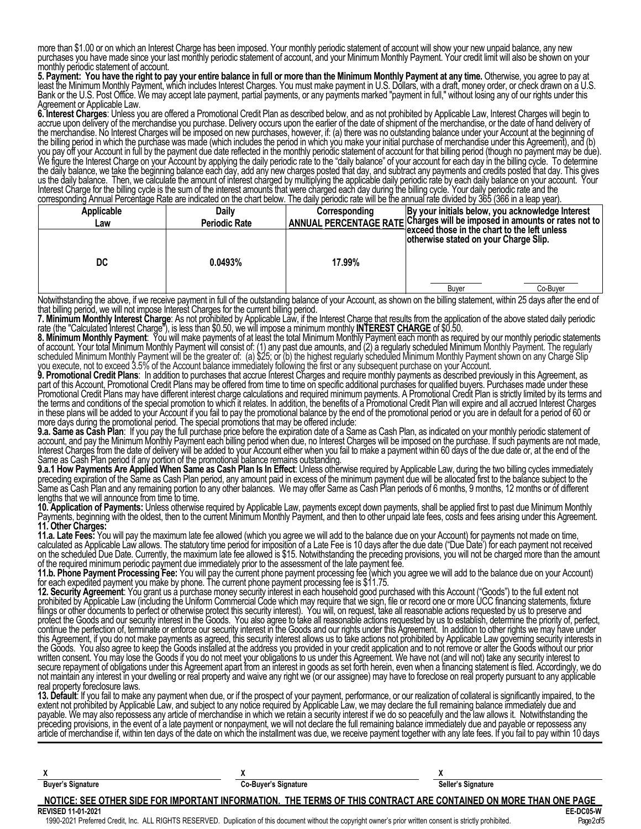more than \$1.00 or on which an Interest Charge has been imposed. Your monthly periodic statement of account will show your new unpaid balance, any new purchases you have made since your last monthly periodic statement of account, and your Minimum Monthly Payment. Your credit limit will also be shown on your monthly periodic statement of account.

5. Payment: You have the right to pay your entire balance in full or more than the Minimum Monthly Payment at any time. Otherwise, you agree to pay at least the Minimum Monthly Payment, which includes Interest Charges. You must make payment in U.S. Dollars, with a draft, money order, or check drawn on a U.S. Bank or the U.S. Post Office. We may accept late payment, partial payments, or any payments marked "payment in full," without losing any of our rights under this Agreement or Applicable Law.

**6. Interest Charges**: Unless you are offered a Promotional Credit Plan as described below, and as not prohibited by Applicable Law, Interest Charges will begin to accrue upon delivery of the merchandise you purchase. Delivery occurs upon the earlier of the date of shipment of the merchandise, or the date of hand delivery of the merchandise. No Interest Charges will be imposed on new purchases, however, if: (a) there was no outstanding balance under your Account at the beginning of the billing period in which the purchase was made (which includes the period in which you make your initial purchase of merchandise under this Agreement), and (b) you pay off your Account in full by the payment due date reflected in the monthly periodic statement of account for that billing period (though no payment may be due). We figure the Interest Charge on your Account by applying the daily periodic rate to the "daily balance" of your account for each day in the billing cycle. To determine the daily balance, we take the beginning balance each day, add any new charges posted that day, and subtract any payments and credits posted that day. This gives us the daily balance. Then, we calculate the amount of interest charged by multiplying the applicable daily periodic rate by each daily balance on your account. Your Interest Charge for the billing cycle is the sum of the interest amounts that were charged each day during the billing cycle. Your daily periodic rate and the corresponding Annual Percentage Rate are indicated on the chart below. The daily periodic rate will be the annual rate divided by 365 (366 in a leap year).

| Applicable    | <b>Daily</b>         | Corresponding | By your initials below, you acknowledge Interest                                       |
|---------------|----------------------|---------------|----------------------------------------------------------------------------------------|
| Law           | <b>Periodic Rate</b> |               | ANNUAL PERCENTAGE RATE Charges will be imposed in amounts or rates not to              |
| DC            | 0.0493%              | 17.99%        | ∃exceed those in the chart to the left unless<br>otherwise stated on your Charge Slip. |
| $\sim$ $\sim$ | .                    |               | Co-Buver<br>Buver                                                                      |

Notwithstanding the above, if we receive payment in full of the outstanding balance of your Account, as shown on the billing statement, within 25 days after the end of that billing period, we will not impose Interest Charges for the current billing period.

**7. Minimum Monthly Interest Charge**: As not prohibited by Applicable Law, if the Interest Charge that results from the application of the above stated daily periodic rate (the "Calculated Interest Charge"), is less than \$0.50, we will impose a minimum monthly **INTEREST CHARGE** of \$0.50.

**8. Minimum Monthly Payment**: You will make payments of at least the total Minimum Monthly Payment each month as required by our monthly periodic statements of account. Your total Minimum Monthly Payment will consist of: (1) any past due amounts, and (2) a regularly scheduled Minimum Monthly Payment. The regularly scheduled Minimum Monthly Payment will be the greater of: (a) \$25; or (b) the highest regularly scheduled Minimum Monthly Payment shown on any Charge Slip you execute, not to exceed 3.5% of the Account balance immediately following the first or any subsequent purchase on your Account.

**9. Promotional Credit Plans**: In addition to purchases that accrue Interest Charges and require monthly payments as described previously in this Agreement, as part of this Account, Promotional Credit Plans may be offered from time to time on specific additional purchases for qualified buyers. Purchases made under these Promotional Credit Plans may have different interest charge calculations and required minimum payments. A Promotional Credit Plan is strictly limited by its terms and the terms and conditions of the special promotion to which it relates. In addition, the benefits of a Promotional Credit Plan will expire and all accrued Interest Charges in these plans will be added to your Account if you fail to pay the promotional balance by the end of the promotional period or you are in default for a period of 60 or in these plans will be added to your Account if you fail to pay the promotional balance by the end of the promotional period or you are in default for a period of 60 or<br>more days during the promotional period. The special

**9.a. Same as Cash Plan**: If you pay the full purchase price before the expiration date of a Same as Cash Plan, as indicated on your monthly periodic statement of account, and pay the Minimum Monthly Payment each billing period when due, no Interest Charges will be imposed on the purchase. If such payments are not made, Interest Charges from the date of delivery will be added to your Account either when you fail to make a payment within 60 days of the due date or, at the end of the Same as Cash Plan period if any portion of the promotional balance remains outstanding.

9.a.1 How Payments Are Applied When Same as Cash Plan Is In Effect: Unless otherwise required by Applicable Law, during the two billing cycles immediately preceding expiration of the Same as Cash Plan period, any amount paid in excess of the minimum payment due will be allocated first to the balance subject to the Same as Cash Plan and any remaining portion to any other balances. We may offer Same as Cash Plan periods of 6 months, 9 months, 12 months or of different lengths that we will announce from time to time.

**10. Application of Payments:** Unless otherwise required by Applicable Law, payments except down payments, shall be applied first to past due Minimum Monthly Payments, beginning with the oldest, then to the current Minimum Monthly Payment, and then to other unpaid late fees, costs and fees arising under this Agreement. **11. Other Charges:**

**11.a. Late Fees:** You will pay the maximum late fee allowed (which you agree we will add to the balance due on your Account) for payments not made on time, calculated as Applicable Law allows. The statutory time period for imposition of a Late Fee is 10 days after the due date ("Due Date') for each payment not received on the scheduled Due Date. Currently, the maximum late fee allowed is \$15. Notwithstanding the preceding provisions, you will not be charged more than the amount of the required minimum periodic payment due immediately prior to the assessment of the late payment fee.

**11.b. Phone Payment Processing Fee:** You will pay the current phone payment processing fee (which you agree we will add to the balance due on your Account) for each expedited payment you make by phone. The current phone payment processing fee is \$11.75.

**12. Security Agreement**: You grant us a purchase money security interest in each household good purchased with this Account ("Goods") to the full extent not prohibited by Applicable Law (including the Uniform Commercial Code which may require that we sign, file or record one or more UCC financing statements, fixture filings or other documents to perfect or otherwise protect this security interest). You will, on request, take all reasonable actions requested by us to preserve and protect the Goods and our security interest in the Goods. You also agree to take all reasonable actions requested by us to establish, determine the priority of, perfect, continue the perfection of, terminate or enforce our security interest in the Goods and our rights under this Agreement. In addition to other rights we may have under this Agreement, if you do not make payments as agreed, this security interest allows us to take actions not prohibited by Applicable Law governing security interests in the Goods. You also agree to keep the Goods installed at the address you provided in your credit application and to not remove or alter the Goods without our prior written consent. You may lose the Goods if you do not meet your obligations to us under this Agreement. We have not (and will not) take any security interest to secure repayment of obligations under this Agreement apart from an interest in goods as set forth herein, even when a financing statement is filed. Accordingly, we do not maintain any interest in your dwelling or real property and waive any right we (or our assignee) may have to foreclose on real property pursuant to any applicable real property foreclosure laws.

**13. Default**: If you fail to make any payment when due, or if the prospect of your payment, performance, or our realization of collateral is significantly impaired, to the extent not prohibited by Applicable Law, and subject to any notice required by Applicable Law, we may declare the full remaining balance immediately due and payable. We may also repossess any article of merchandise in which we retain a security interest if we do so peacefully and the law allows it. Notwithstanding the preceding provisions, in the event of a late payment or nonpayment, we will not declare the full remaining balance immediately due and payable or repossess any article of merchandise if, within ten days of the date on which the installment was due, we receive payment together with any late fees. If you fail to pay within 10 days

| <b>Buyer's Signature</b>  | <b>Co-Buyer's Signature</b>                                                                                      | Seller's Signature |
|---------------------------|------------------------------------------------------------------------------------------------------------------|--------------------|
|                           | NOTICE: SEE OTHER SIDE FOR IMPORTANT INFORMATION. THE TERMS OF THIS CONTRACT ARE CONTAINED ON MORE THAN ONE PAGE |                    |
| <b>REVISED 11-01-2021</b> |                                                                                                                  | EE-DC05 W          |

1990-2021 Preferred Credit, Inc. ALL RIGHTS RESERVED. Duplication of this document without the copyright owner's prior written consent is strictly prohibited. Page2of5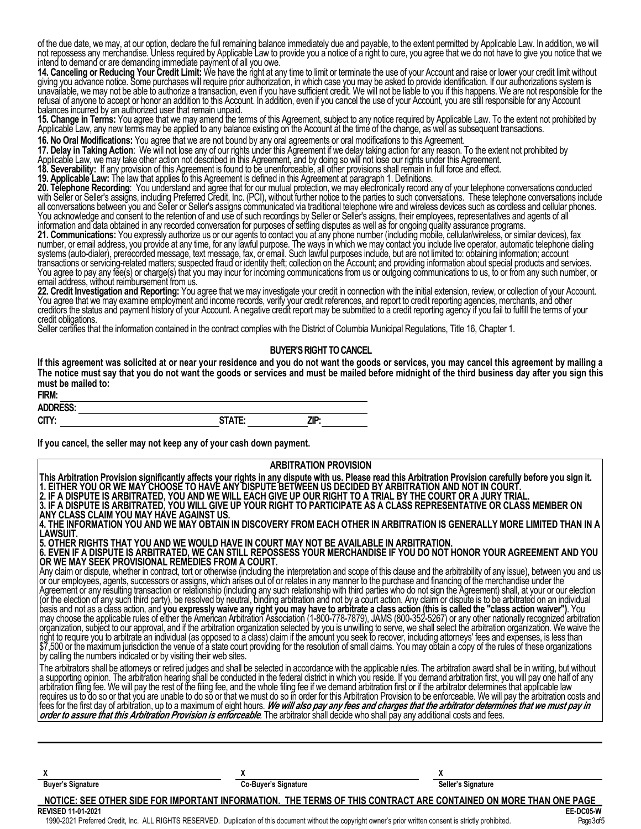of the due date, we may, at our option, declare the full remaining balance immediately due and payable, to the extent permitted by Applicable Law. In addition, we will not repossess any merchandise. Unless required by Applicable Law to provide you a notice of a right to cure, you agree that we do not have to give you notice that we intend to demand or are demanding immediate payment of all you owe.

**14. Canceling or Reducing Your Credit Limit:** We have the right at any time to limit or terminate the use of your Account and raise or lower your credit limit without giving you advance notice. Some purchases will require prior authorization, in which case you may be asked to provide identification. If our authorizations system is unavailable, we may not be able to authorize a transaction, even if you have sufficient credit. We will not be liable to you if this happens. We are not responsible for the refusal of anyone to accept or honor an addition to this Account. In addition, even if you cancel the use of your Account, you are still responsible for any Account balances incurred by an authorized user that remain unpaid.

**15. Change in Terms:** You agree that we may amend the terms of this Agreement, subject to any notice required by Applicable Law. To the extent not prohibited by Applicable Law, any new terms may be applied to any balance Applicable Law, any new terms may be applied to any balance existing on the Account at the time of the change, as well as subsequent transactions.

**16. No Oral Modifications:** You agree that we are not bound by any oral agreements or oral modifications to this Agreement.

**17. Delay in Taking Action**: We will not lose any of our rights under this Agreement if we delay taking action for any reason. To the extent not prohibited by

Applicable Law, we may take other action not described in this Agreement, and by doing so will not lose our rights under this Agreement.

**18. Severability:** If any provision of this Agreement is found to be unenforceable, all other provisions shall remain in full force and effect.

**19. Applicable Law:** The law that applies to this Agreement is defined in this Agreement at paragraph 1. Definitions.

**20. Telephone Recording**: You understand and agree that for our mutual protection, we may electronically record any of your telephone conversations conducted with Seller or Seller's assigns, including Preferred Credit, Inc. (PCI), without further notice to the parties to such conversations. These telephone conversations include all conversations between you and Seller or Seller's assigns communicated via traditional telephone wire and wireless devices such as cordless and cellular phones. You acknowledge and consent to the retention of and use of such recordings by Seller or Seller's assigns, their employees, representatives and agents of all information and data obtained in any recorded conversation for purposes of settling disputes as well as for ongoing quality assurance programs.

**21. Communications:** You expressly authorize us or our agents to contact you at any phone number (including mobile, cellular/wireless, or similar devices), fax number, or email address, you provide at any time, for any lawful purpose. The ways in which we may contact you include live operator, automatic telephone dialing systems (auto-dialer), prerecorded message, text message, fax, or email. Such lawful purposes include, but are not limited to: obtaining information; account transactions or servicing-related matters; suspected fraud or identity theft; collection on the Account; and providing information about special products and services. You agree to pay any fee(s) or charge(s) that you may incur for incoming communications from us or outgoing communications to us, to or from any such number, or email address, without reimbursement from us.

email address, without reimbursement from us.<br>22. Credit Investigation and Reporting: You agree that we may investigate your credit in connection with the initial extension, review, or collection of your Account. You agree that we may examine employment and income records, verify your credit references, and report to credit reporting agencies, merchants, and other creditors the status and payment history of your Account. A negative credit report may be submitted to a credit reporting agency if you fail to fulfill the terms of your credit obligations.

Seller certifies that the information contained in the contract complies with the District of Columbia Municipal Regulations, Title 16, Chapter 1.

### **BUYER'S RIGHT TO CANCEL**

**If this agreement was solicited at or near your residence and you do not want the goods or services, you may cancel this agreement by mailing a The notice must say that you do not want the goods or services and must be mailed before midnight of the third business day after you sign this must be mailed to:**

| FIRM:           |                    |      |
|-----------------|--------------------|------|
| <b>ADDRESS:</b> |                    |      |
| CITY:           | <b>ITATE.</b><br>. | ZIP: |

**If you cancel, the seller may not keep any of your cash down payment.**

| <b>ARBITRATION PROVISION</b>                                                                                                                                                                                                      |  |  |  |
|-----------------------------------------------------------------------------------------------------------------------------------------------------------------------------------------------------------------------------------|--|--|--|
| This Arbitration Provision significantly affects your rights in any dispute with us. Please read this Arbitration Provision carefully before you sign it.<br> 1. EITHER YOU OR WE MAY CHOOSE TO HAVE ANY DISPUTE BETWEEN US DECID |  |  |  |
|                                                                                                                                                                                                                                   |  |  |  |
| 2. IF A DISPUTE IS ARBITRATED, YOU AND WE WILL EACH GIVE UP OUR RIGHT TO A TRIAL BY THE COURT OR A JURY TRIAL.<br>3. IF A DISPUTE IS ARBITRATED, YOU WILL GIVE UP YOUR RIGHT TO PARTICIPATE AS A CLASS REPRESENTATIVE OR CLASS ME |  |  |  |
| ANY CLASS CLAIM YOU MAY HAVE AGAINST US.                                                                                                                                                                                          |  |  |  |
| 4. THE INFORMATION YOU AND WE MAY OBTAIN IN DISCOVERY FROM EACH OTHER IN ARBITRATION IS GENERALLY MORE LIMITED THAN IN A                                                                                                          |  |  |  |
| ILAWSUIT.                                                                                                                                                                                                                         |  |  |  |
| 5. OTHER RIGHTS THAT YOU AND WE WOULD HAVE IN COURT MAY NOT BE AVAILABLE IN ARBITRATION.                                                                                                                                          |  |  |  |
| 6. EVEN IF A DISPUTE IS ARBITRATED, WE CAN STILL REPOSSESS YOUR MERCHANDISE IF YOU DO NOT HONOR YOUR AGREEMENT AND YOU                                                                                                            |  |  |  |
| IOR WE MAY SEEK PROVISIONAL REMEDIES FROM A COURT.                                                                                                                                                                                |  |  |  |
| Any claim or dispute, whether in contract, tort or otherwise (including the interpretation and scope of this clause and the arbitrability of any issue), between you and us<br> or our employees, agents, successors or assigns,  |  |  |  |
| Agreement or any resulting transaction or relationship (including any such relationship with third parties who do not sign the Agreement) shall, at your or our election                                                          |  |  |  |
| (or the election of any such third party), be resolved by neutral, binding arbitration and not by a court action. Any claim or dispute is to be arbitrated on an individual                                                       |  |  |  |
|                                                                                                                                                                                                                                   |  |  |  |
| basis and not as a class action, and you expressly waive any right you may have to arbitrate a class action (this is called the "class action waiver"). You<br> may choose the applicable rules of either the American Arbitratio |  |  |  |
| organization, subject to our approval, and if the arbitration organization selected by you is unwilling to serve, we shall select the arbitration organization. We waive the                                                      |  |  |  |
| right to require you to arbitrate an individual (as opposed to a class) claim if the amount you seek to recover, including attorneys' fees and expenses, is less than                                                             |  |  |  |
| \$7,500 or the maximum jurisdiction the venue of a state court providing for the resolution of small claims. You may obtain a copy of the rules of these organizations                                                            |  |  |  |
| by calling the numbers indicated or by visiting their web sites.                                                                                                                                                                  |  |  |  |
| The arbitrators shall be attorneys or retired judges and shall be selected in accordance with the applicable rules. The arbitration award shall be in writing, but without                                                        |  |  |  |
| a supporting opinion. The arbitration hearing shall be conducted in the federal district in which you reside. If you demand arbitration first, you will pay one half of any<br>arbitration filing fee. We will pay the rest of th |  |  |  |
| requires us to do so or that you are unable to do so or that we must do so in order for this Arbitration Provision to be enforceable. We will pay the arbitration costs and                                                       |  |  |  |
|                                                                                                                                                                                                                                   |  |  |  |
| fees for the first day of arbitration, up to a maximum of eight hours. We will also pay any fees and charges that the arbitrator determines that we must pay in order to assure that this Arbitration Provision is enforceable    |  |  |  |
|                                                                                                                                                                                                                                   |  |  |  |
|                                                                                                                                                                                                                                   |  |  |  |
|                                                                                                                                                                                                                                   |  |  |  |

 $X$  **X** {x}  $X$ 

**Buyer's Signature Co-Buyer's Signature Seller's Signature Seller's Signature** 

**NOTICE: SEE OTHER SIDE FOR IMPORTANT INFORMATION. THE TERMS OF THIS CONTRACT ARE CONTAINED ON MORE THAN ONE PAGE**

**REVISED 11-01-2021 EE-DC05-W** 1990-2021 Preferred Credit, Inc. ALL RIGHTS RESERVED. Duplication of this document without the copyright owner's prior written consent is strictly prohibited. Page3of5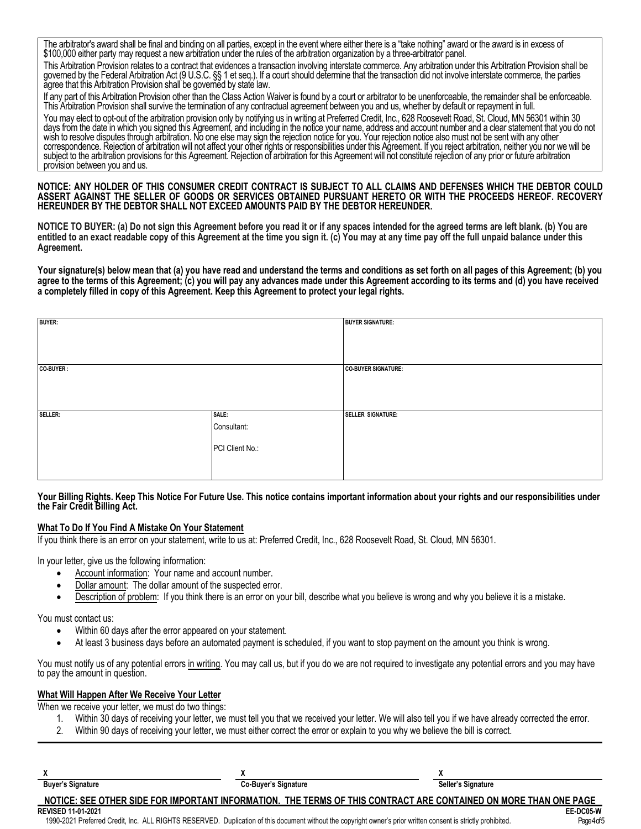The arbitrator's award shall be final and binding on all parties, except in the event where either there is a "take nothing" award or the award is in excess of \$100,000 either party may request a new arbitration under the rules of the arbitration organization by a three-arbitrator panel.

This Arbitration Provision relates to a contract that evidences a transaction involving interstate commerce. Any arbitration under this Arbitration Provision shall be governed by the Federal Arbitration Act (9 U.S.C. §§ 1 et seq.). If a court should determine that the transaction did not involve interstate commerce, the parties agree that this Arbitration Provision shall be governed by state law.

If any part of this Arbitration Provision other than the Class Action Waiver is found by a court or arbitrator to be unenforceable, the remainder shall be enforceable. This Arbitration Provision shall survive the termination of any contractual agreement between you and us, whether by default or repayment in full.

You may elect to opt-out of the arbitration provision only by notifying us in writing at Preferred Credit, Inc., 628 Roosevelt Road, St. Cloud, MN 56301 within 30 days from the date in which you signed this Agreement, and including in the notice your name, address and account number and a clear statement that you do not wish to resolve disputes through arbitration. No one else may sign the rejection notice for you. Your rejection notice also must not be sent with any other correspondence. Rejection of arbitration will not affect your other rights or responsibilities under this Agreement. If you reject arbitration, neither you nor we will be subject to the arbitration provisions for this Agreement. Rejection of arbitration for this Agreement will not constitute rejection of any prior or future arbitration provision between you and us.

**NOTICE: ANY HOLDER OF THIS CONSUMER CREDIT CONTRACT IS SUBJECT TO ALL CLAIMS AND DEFENSES WHICH THE DEBTOR COULD ASSERT AGAINST THE SELLER OF GOODS OR SERVICES OBTAINED PURSUANT HERETO OR WITH THE PROCEEDS HEREOF. RECOVERY HEREUNDER BY THE DEBTOR SHALL NOT EXCEED AMOUNTS PAID BY THE DEBTOR HEREUNDER.**

**NOTICE TO BUYER: (a) Do not sign this Agreement before you read it or if any spaces intended for the agreed terms are left blank. (b) You are entitled to an exact readable copy of this Agreement at the time you sign it. (c) You may at any time pay off the full unpaid balance under this Agreement.**

**Your signature(s) below mean that (a) you have read and understand the terms and conditions as set forth on all pages of this Agreement; (b) you agree to the terms of this Agreement; (c) you will pay any advances made under this Agreement according to its terms and (d) you have received a completely filled in copy of this Agreement. Keep this Agreement to protect your legal rights.**

| <b>BUYER:</b> |                 | <b>BUYER SIGNATURE:</b>  |
|---------------|-----------------|--------------------------|
|               |                 |                          |
|               |                 |                          |
| CO-BUYER:     |                 | CO-BUYER SIGNATURE:      |
|               |                 |                          |
|               |                 |                          |
| SELLER:       | SALE:           | <b>SELLER SIGNATURE:</b> |
|               | Consultant:     |                          |
|               | PCI Client No.: |                          |
|               |                 |                          |

### **Your Billing Rights. Keep This Notice For Future Use. This notice contains important information about your rights and our responsibilities under the Fair Credit Billing Act.**

## **What To Do If You Find A Mistake On Your Statement**

If you think there is an error on your statement, write to us at: Preferred Credit, Inc., 628 Roosevelt Road, St. Cloud, MN 56301.

In your letter, give us the following information:

- Account information: Your name and account number.
- Dollar amount: The dollar amount of the suspected error.
- · Description of problem: If you think there is an error on your bill, describe what you believe is wrong and why you believe it is a mistake.

You must contact us:

- Within 60 days after the error appeared on your statement.
- · At least 3 business days before an automated payment is scheduled, if you want to stop payment on the amount you think is wrong.

You must notify us of any potential errors in writing. You may call us, but if you do we are not required to investigate any potential errors and you may have to pay the amount in question.

## **What Will Happen After We Receive Your Letter**

When we receive your letter, we must do two things:

- 1. Within 30 days of receiving your letter, we must tell you that we received your letter. We will also tell you if we have already corrected the error.
- 2. Within 90 days of receiving your letter, we must either correct the error or explain to you why we believe the bill is correct.

| <b>Buyer's Signature</b>  | <b>Co-Buyer's Signature</b>                                                                                      | Seller's Signature |
|---------------------------|------------------------------------------------------------------------------------------------------------------|--------------------|
|                           | NOTICE: SEE OTHER SIDE FOR IMPORTANT INFORMATION. THE TERMS OF THIS CONTRACT ARE CONTAINED ON MORE THAN ONE PAGE |                    |
| <b>REVISED 11-01-2021</b> |                                                                                                                  | EE-DC05 W          |

1990-2021 Preferred Credit, Inc. ALL RIGHTS RESERVED. Duplication of this document without the copyright owner's prior written consent is strictly prohibited. Page4of5